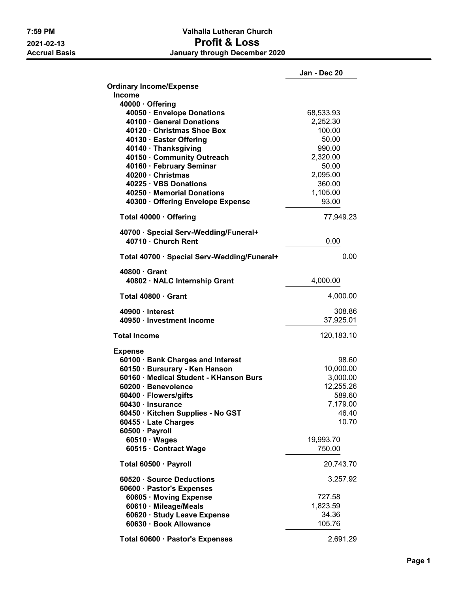## 7:59 PM Valhalla Lutheran Church 2021-02-13 **Profit & LOSS**<br>Accrual Basis **Accrual Basis** January through Decembe January through December 2020

|                                               | Jan - Dec 20      |
|-----------------------------------------------|-------------------|
| <b>Ordinary Income/Expense</b>                |                   |
| <b>Income</b>                                 |                   |
| 40000 · Offering                              |                   |
| 40050 · Envelope Donations                    | 68,533.93         |
| 40100 · General Donations                     | 2,252.30          |
| 40120 · Christmas Shoe Box                    | 100.00            |
| 40130 · Easter Offering                       | 50.00             |
| 40140 · Thanksgiving                          | 990.00            |
| 40150 · Community Outreach                    | 2,320.00          |
| 40160 · February Seminar<br>40200 · Christmas | 50.00<br>2,095.00 |
| 40225 · VBS Donations                         | 360.00            |
|                                               | 1,105.00          |
| 40250 · Memorial Donations                    | 93.00             |
| 40300 · Offering Envelope Expense             |                   |
| Total 40000 · Offering                        | 77,949.23         |
| 40700 · Special Serv-Wedding/Funeral+         |                   |
| 40710 · Church Rent                           | 0.00              |
| Total 40700 · Special Serv-Wedding/Funeral+   | 0.00              |
| $40800 \cdot$ Grant                           |                   |
| 40802 · NALC Internship Grant                 | 4,000.00          |
| Total 40800 · Grant                           | 4,000.00          |
| 40900 · Interest                              | 308.86            |
| 40950 · Investment Income                     | 37,925.01         |
| <b>Total Income</b>                           | 120,183.10        |
| <b>Expense</b>                                |                   |
| 60100 · Bank Charges and Interest             | 98.60             |
| 60150 · Bursurary - Ken Hanson                | 10,000.00         |
| 60160 · Medical Student - KHanson Burs        | 3,000.00          |
| 60200 · Benevolence                           | 12,255.26         |
| 60400 · Flowers/gifts                         | 589.60            |
| 60430 · Insurance                             | 7,179.00          |
| 60450 · Kitchen Supplies - No GST             | 46.40             |
| 60455 · Late Charges                          | 10.70             |
| 60500 · Payroll                               |                   |
| $60510 \cdot Wages$                           | 19,993.70         |
| 60515 · Contract Wage                         | 750.00            |
| Total 60500 · Payroll                         | 20,743.70         |
| 60520 · Source Deductions                     | 3,257.92          |
| 60600 · Pastor's Expenses                     |                   |
| 60605 · Moving Expense                        | 727.58            |
| 60610 · Mileage/Meals                         | 1,823.59          |
| 60620 · Study Leave Expense                   | 34.36             |
| 60630 · Book Allowance                        | 105.76            |
| Total 60600 · Pastor's Expenses               | 2,691.29          |